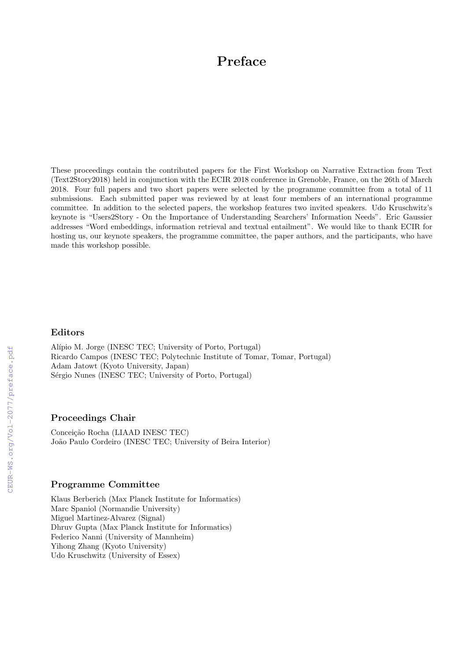# Preface

These proceedings contain the contributed papers for the First Workshop on Narrative Extraction from Text (Text2Story2018) held in conjunction with the ECIR 2018 conference in Grenoble, France, on the 26th of March 2018. Four full papers and two short papers were selected by the programme committee from a total of 11 submissions. Each submitted paper was reviewed by at least four members of an international programme committee. In addition to the selected papers, the workshop features two invited speakers. Udo Kruschwitz's keynote is "Users2Story - On the Importance of Understanding Searchers' Information Needs". Eric Gaussier addresses "Word embeddings, information retrieval and textual entailment". We would like to thank ECIR for hosting us, our keynote speakers, the programme committee, the paper authors, and the participants, who have made this workshop possible.

## Editors

Alípio M. Jorge (INESC TEC; University of Porto, Portugal) Ricardo Campos (INESC TEC; Polytechnic Institute of Tomar, Tomar, Portugal) Adam Jatowt (Kyoto University, Japan) Sérgio Nunes (INESC TEC; University of Porto, Portugal)

### Proceedings Chair

Conceição Rocha (LIAAD INESC TEC) João Paulo Cordeiro (INESC TEC; University of Beira Interior)

## Programme Committee

Klaus Berberich (Max Planck Institute for Informatics) Marc Spaniol (Normandie University) Miguel Martinez-Alvarez (Signal) Dhruv Gupta (Max Planck Institute for Informatics) Federico Nanni (University of Mannheim) Yihong Zhang (Kyoto University) Udo Kruschwitz (University of Essex)